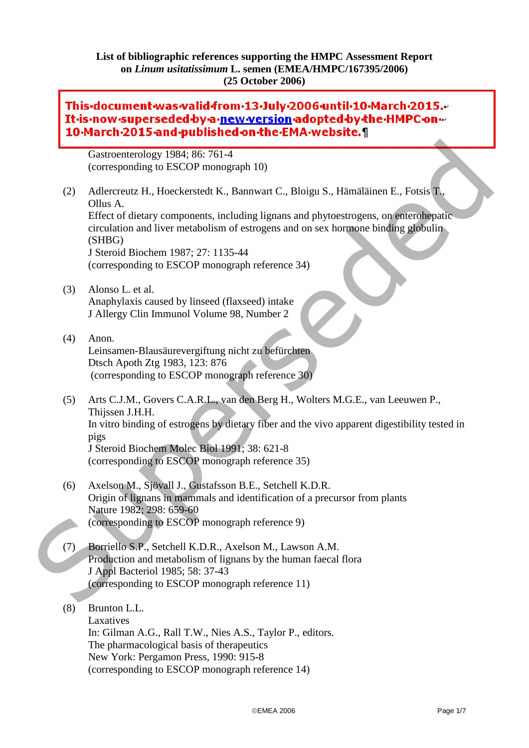### **List of bibliographic references supporting the HMPC Assessment Report on** *Linum usitatissimum* **L. semen (EMEA/HMPC/167395/2006) (25 October 2006)**

# This-document-was-valid-from-13-July-2006-until-10-March-2015. It-is-now-superseded-by-a-new-version-adopted-by-the-HMPC-on-10-March-2015 and published on the EMA website. 1 breast cancer? An extension of the "fiber hypothesis".

Gastroenterology 1984; 86: 761-4 (corresponding to ESCOP monograph 10)

- (2) Adlercreutz H., Hoeckerstedt K., Bannwart C., Bloigu S., Hämäläinen E., Fotsis T., Ollus A. Effect of dietary components, including lignans and phytoestrogens, on enterohepatic circulation and liver metabolism of estrogens and on sex hormone binding globulin (SHBG) J Steroid Biochem 1987; 27: 1135-44 (corresponding to ESCOP monograph reference 34) Gastroenterology 1984; 86: 761-4<br>
(corresponding to ESCOP monograph 10)<br>
(2) Adeterouz H., Hoeckerstedt K., Beloneux C., Bloigu S., Hämältäinen E., Fotsis T.<br>
Cillus A.<br>
Effect of distring romponents, including highans and
	- (3) Alonso L. et al. Anaphylaxis caused by linseed (flaxseed) intake J Allergy Clin Immunol Volume 98, Number 2

#### (4) Anon. Leinsamen-Blausäurevergiftung nicht zu befürchten Dtsch Apoth Ztg 1983, 123: 876 (corresponding to ESCOP monograph reference 30)

- (5) Arts C.J.M., Govers C.A.R.L., van den Berg H., Wolters M.G.E., van Leeuwen P., Thijssen J.H.H. In vitro binding of estrogens by dietary fiber and the vivo apparent digestibility tested in pigs J Steroid Biochem Molec Biol 1991; 38: 621-8 (corresponding to ESCOP monograph reference 35)
- (6) Axelson M., Sjövall J., Gustafsson B.E., Setchell K.D.R. Origin of lignans in mammals and identification of a precursor from plants Nature 1982; 298: 659-60 (corresponding to ESCOP monograph reference 9)
- (7) Borriello S.P., Setchell K.D.R., Axelson M., Lawson A.M. Production and metabolism of lignans by the human faecal flora J Appl Bacteriol 1985; 58: 37-43 (corresponding to ESCOP monograph reference 11)

## (8) Brunton L.L. Laxatives In: Gilman A.G., Rall T.W., Nies A.S., Taylor P., editors. The pharmacological basis of therapeutics New York: Pergamon Press, 1990: 915-8 (corresponding to ESCOP monograph reference 14)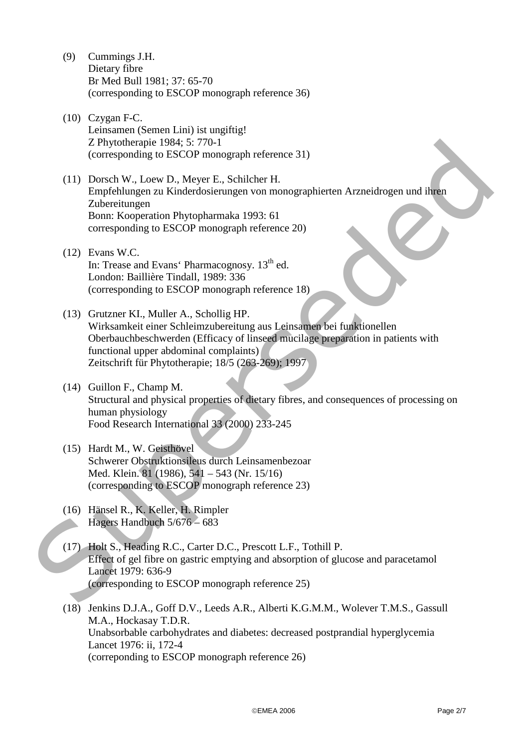- (9) Cummings J.H. Dietary fibre Br Med Bull 1981; 37: 65-70 (corresponding to ESCOP monograph reference 36)
- (10) Czygan F-C. Leinsamen (Semen Lini) ist ungiftig! Z Phytotherapie 1984; 5: 770-1 (corresponding to ESCOP monograph reference 31)
- (11) Dorsch W., Loew D., Meyer E., Schilcher H. Empfehlungen zu Kinderdosierungen von monographierten Arzneidrogen und ihren Zubereitungen Bonn: Kooperation Phytopharmaka 1993: 61 corresponding to ESCOP monograph reference 20) Z Phyolology (1984; 5: 770-1<br>
(corresponding to FSCOP monograph reference 31)<br>
(11) Dorsch W., Loew D., Meyer E., Schilcher H.<br>
Empfehlungen zu Kinderdosierungen von monographierten Arzneidrogen und ihlen<br>
Zubereitungen<br>
	- (12) Evans W.C. In: Trease and Evans' Pharmacognosy. 13<sup>th</sup> ed. London: Baillière Tindall, 1989: 336 (corresponding to ESCOP monograph reference 18)
	- (13) Grutzner KI., Muller A., Schollig HP. Wirksamkeit einer Schleimzubereitung aus Leinsamen bei funktionellen Oberbauchbeschwerden (Efficacy of linseed mucilage preparation in patients with functional upper abdominal complaints) Zeitschrift für Phytotherapie; 18/5 (263-269); 1997
	- (14) Guillon F., Champ M. Structural and physical properties of dietary fibres, and consequences of processing on human physiology Food Research International 33 (2000) 233-245
	- (15) Hardt M., W. Geisthövel Schwerer Obstruktionsileus durch Leinsamenbezoar Med. Klein. 81 (1986), 541 – 543 (Nr. 15/16) (corresponding to ESCOP monograph reference 23)
	- (16) Hänsel R., K. Keller, H. Rimpler Hagers Handbuch 5/676 – 683
	- (17) Holt S., Heading R.C., Carter D.C., Prescott L.F., Tothill P. Effect of gel fibre on gastric emptying and absorption of glucose and paracetamol Lancet 1979: 636-9 (corresponding to ESCOP monograph reference 25)
	- (18) Jenkins D.J.A., Goff D.V., Leeds A.R., Alberti K.G.M.M., Wolever T.M.S., Gassull M.A., Hockasay T.D.R. Unabsorbable carbohydrates and diabetes: decreased postprandial hyperglycemia Lancet 1976: ii, 172-4 (correponding to ESCOP monograph reference 26)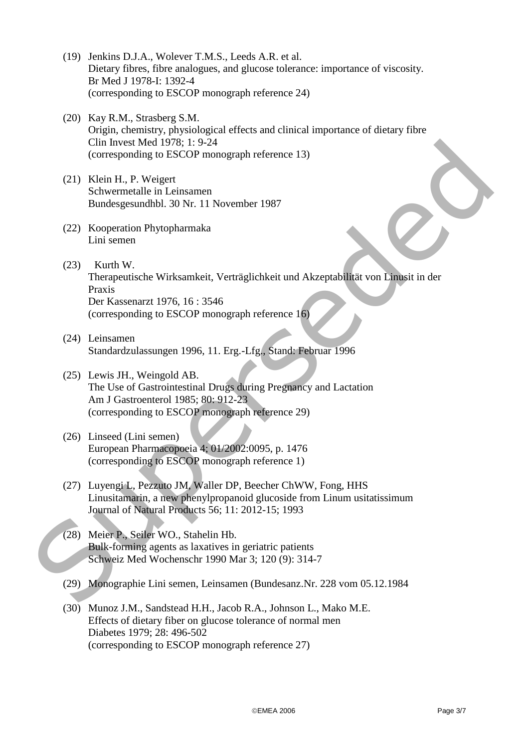- (19) Jenkins D.J.A., Wolever T.M.S., Leeds A.R. et al. Dietary fibres, fibre analogues, and glucose tolerance: importance of viscosity. Br Med J 1978-I: 1392-4 (corresponding to ESCOP monograph reference 24)
- (20) Kay R.M., Strasberg S.M. Origin, chemistry, physiological effects and clinical importance of dietary fibre Clin Invest Med 1978; 1: 9-24 (corresponding to ESCOP monograph reference 13)
- (21) Klein H., P. Weigert Schwermetalle in Leinsamen Bundesgesundhbl. 30 Nr. 11 November 1987
- (22) Kooperation Phytopharmaka Lini semen
- (23) Kurth W. Therapeutische Wirksamkeit, Verträglichkeit und Akzeptabilität von Linusit in der Praxis Der Kassenarzt 1976, 16 : 3546 (corresponding to ESCOP monograph reference 16) Clin Invest Med 1978; 1: 9:24<br>
Corresponding to PSCOP monograph reference 13)<br>
(21) Klein H., P. Weigert<br>
Subwentedte in Leinsanen<br>
Bundesgesum dbbl, 30 Nr. 11 November 1987<br>
(22) Kooperation Phytopharmaka<br>
Limi semen<br>
The
	- (24) Leinsamen Standardzulassungen 1996, 11. Erg.-Lfg., Stand: Februar 1996
	- (25) Lewis JH., Weingold AB. The Use of Gastrointestinal Drugs during Pregnancy and Lactation Am J Gastroenterol 1985; 80: 912-23 (corresponding to ESCOP monograph reference 29)
	- (26) Linseed (Lini semen) European Pharmacopoeia 4; 01/2002:0095, p. 1476 (corresponding to ESCOP monograph reference 1)
	- (27) Luyengi L, Pezzuto JM, Waller DP, Beecher ChWW, Fong, HHS Linusitamarin, a new phenylpropanoid glucoside from Linum usitatissimum Journal of Natural Products 56; 11: 2012-15; 1993
	- (28) Meier P., Seiler WO., Stahelin Hb. Bulk-forming agents as laxatives in geriatric patients Schweiz Med Wochenschr 1990 Mar 3; 120 (9): 314-7
	- (29) Monographie Lini semen, Leinsamen (Bundesanz.Nr. 228 vom 05.12.1984
	- (30) Munoz J.M., Sandstead H.H., Jacob R.A., Johnson L., Mako M.E. Effects of dietary fiber on glucose tolerance of normal men Diabetes 1979; 28: 496-502 (corresponding to ESCOP monograph reference 27)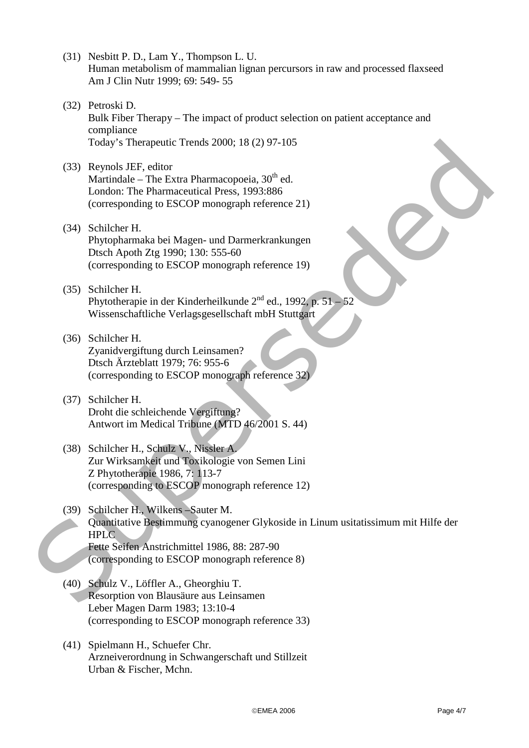- (31) Nesbitt P. D., Lam Y., Thompson L. U. Human metabolism of mammalian lignan percursors in raw and processed flaxseed Am J Clin Nutr 1999; 69: 549- 55
- (32) Petroski D. Bulk Fiber Therapy – The impact of product selection on patient acceptance and compliance Today's Therapeutic Trends 2000; 18 (2) 97-105
- (33) Reynols JEF, editor Martindale – The Extra Pharmacopoeia,  $30<sup>th</sup>$  ed. London: The Pharmaceutical Press, 1993:886 (corresponding to ESCOP monograph reference 21)
- (34) Schilcher H. Phytopharmaka bei Magen- und Darmerkrankungen Dtsch Apoth Ztg 1990; 130: 555-60 (corresponding to ESCOP monograph reference 19)
- (35) Schilcher H. Phytotherapie in der Kinderheilkunde  $2^{nd}$  ed., 1992, p. 51 – 52 Wissenschaftliche Verlagsgesellschaft mbH Stuttgart
- (36) Schilcher H. Zyanidvergiftung durch Leinsamen? Dtsch Ärzteblatt 1979; 76: 955-6 (corresponding to ESCOP monograph reference 32)
- (37) Schilcher H. Droht die schleichende Vergiftung? Antwort im Medical Tribune (MTD 46/2001 S. 44)
- (38) Schilcher H., Schulz V., Nissler A. Zur Wirksamkeit und Toxikologie von Semen Lini Z Phytotherapie 1986, 7: 113-7 (corresponding to ESCOP monograph reference 12)
- (39) Schilcher H., Wilkens –Sauter M. Quantitative Bestimmung cyanogener Glykoside in Linum usitatissimum mit Hilfe der HPLC Fette Seifen Anstrichmittel 1986, 88: 287-90 (corresponding to ESCOP monograph reference 8) Today's Therapeutic Trends 2000: 18 (2) 97-105<br>
(33) Reynols BEF, editor<br>
Murtirdale – The Evara Pharmacepocia, 30<sup>th</sup> ed.<br>
London: The Pharmaceutical Press, 1993:886<br>
(corresponding to ESCOP monograph reference 21)<br>
(34)
	- (40) Schulz V., Löffler A., Gheorghiu T. Resorption von Blausäure aus Leinsamen Leber Magen Darm 1983; 13:10-4 (corresponding to ESCOP monograph reference 33)
	- (41) Spielmann H., Schuefer Chr. Arzneiverordnung in Schwangerschaft und Stillzeit Urban & Fischer, Mchn.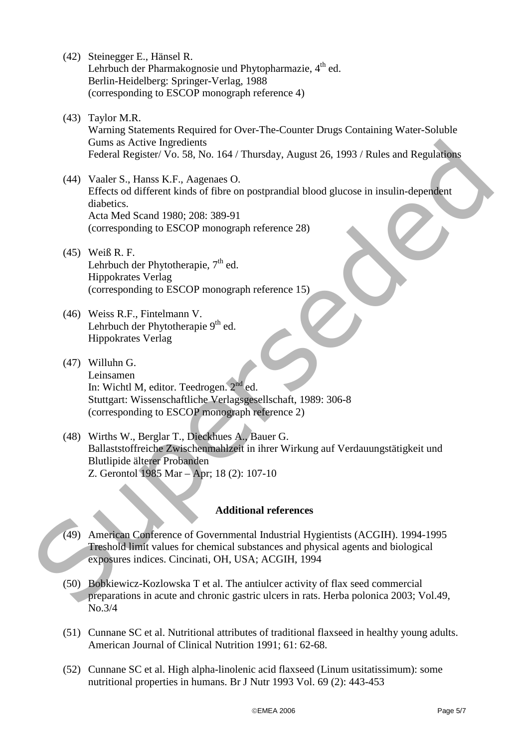- (42) Steinegger E., Hänsel R. Lehrbuch der Pharmakognosie und Phytopharmazie,  $4<sup>th</sup>$  ed. Berlin-Heidelberg: Springer-Verlag, 1988 (corresponding to ESCOP monograph reference 4)
- (43) Taylor M.R. Warning Statements Required for Over-The-Counter Drugs Containing Water-Soluble Gums as Active Ingredients Federal Register/ Vo. 58, No. 164 / Thursday, August 26, 1993 / Rules and Regulations
- (44) Vaaler S., Hanss K.F., Aagenaes O. Effects od different kinds of fibre on postprandial blood glucose in insulin-dependent diabetics. Acta Med Scand 1980; 208: 389-91 (corresponding to ESCOP monograph reference 28) Guns as Acirce Ingredients<br>
(44) Vauler S., Hams K. F., Augenus O.<br>
Federal Register Vo. S8, No. 164 / Thursday, August 26, 1993 / Rules and Regulations<br>
(44) Vauler S., Hams K. F., Augenus O.<br>
Effects to different kinds o
	- (45) Weiß R. F. Lehrbuch der Phytotherapie,  $7<sup>th</sup>$  ed. Hippokrates Verlag (corresponding to ESCOP monograph reference 15)
	- (46) Weiss R.F., Fintelmann V. Lehrbuch der Phytotherapie 9<sup>th</sup> ed. Hippokrates Verlag
	- (47) Willuhn G. Leinsamen In: Wichtl M, editor. Teedrogen.  $2^{nd}$  ed. Stuttgart: Wissenschaftliche Verlagsgesellschaft, 1989: 306-8 (corresponding to ESCOP monograph reference 2)
	- (48) Wirths W., Berglar T., Dieckhues A., Bauer G. Ballaststoffreiche Zwischenmahlzeit in ihrer Wirkung auf Verdauungstätigkeit und Blutlipide älterer Probanden Z. Gerontol 1985 Mar – Apr; 18 (2): 107-10

## **Additional references**

- (49) American Conference of Governmental Industrial Hygientists (ACGIH). 1994-1995 Treshold limit values for chemical substances and physical agents and biological exposures indices. Cincinati, OH, USA; ACGIH, 1994
- (50) Bobkiewicz-Kozlowska T et al. The antiulcer activity of flax seed commercial preparations in acute and chronic gastric ulcers in rats. Herba polonica 2003; Vol.49, No.3/4
- (51) Cunnane SC et al. Nutritional attributes of traditional flaxseed in healthy young adults. American Journal of Clinical Nutrition 1991; 61: 62-68.
- (52) Cunnane SC et al. High alpha-linolenic acid flaxseed (Linum usitatissimum): some nutritional properties in humans. Br J Nutr 1993 Vol. 69 (2): 443-453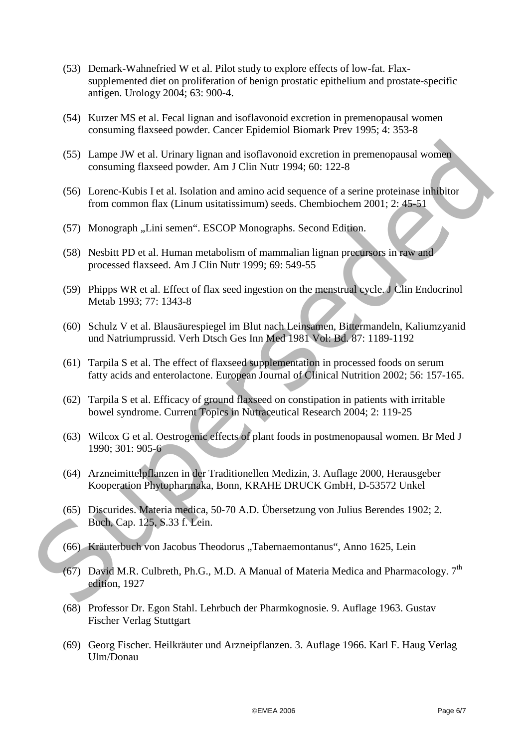- (53) Demark-Wahnefried W et al. Pilot study to explore effects of low-fat. Flaxsupplemented diet on proliferation of benign prostatic epithelium and prostate-specific antigen. Urology 2004; 63: 900-4.
- (54) Kurzer MS et al. Fecal lignan and isoflavonoid excretion in premenopausal women consuming flaxseed powder. Cancer Epidemiol Biomark Prev 1995; 4: 353-8
- (55) Lampe JW et al. Urinary lignan and isoflavonoid excretion in premenopausal women consuming flaxseed powder. Am J Clin Nutr 1994; 60: 122-8
- (56) Lorenc-Kubis I et al. Isolation and amino acid sequence of a serine proteinase inhibitor from common flax (Linum usitatissimum) seeds. Chembiochem 2001; 2: 45-51
- (57) Monograph "Lini semen". ESCOP Monographs. Second Edition.
- (58) Nesbitt PD et al. Human metabolism of mammalian lignan precursors in raw and processed flaxseed. Am J Clin Nutr 1999; 69: 549-55
- (59) Phipps WR et al. Effect of flax seed ingestion on the menstrual cycle. J Clin Endocrinol Metab 1993; 77: 1343-8
- (60) Schulz V et al. Blausäurespiegel im Blut nach Leinsamen, Bittermandeln, Kaliumzyanid und Natriumprussid. Verh Dtsch Ges Inn Med 1981 Vol: Bd. 87: 1189-1192 (55) Lampe JW et al. Urinary lignan and isoflavonoid excretion in premenopausal women<br>
consuming flaxsed powder. Am J Clin Nut 1994; 60: 122 8<br>
(56) Lorenc Kubis I et al. Isotation and animo card sequence of a serine prot
	- (61) Tarpila S et al. The effect of flaxseed supplementation in processed foods on serum fatty acids and enterolactone. European Journal of Clinical Nutrition 2002; 56: 157-165.
	- (62) Tarpila S et al. Efficacy of ground flaxseed on constipation in patients with irritable bowel syndrome. Current Topics in Nutraceutical Research 2004; 2: 119-25
	- (63) Wilcox G et al. Oestrogenic effects of plant foods in postmenopausal women. Br Med J 1990; 301: 905-6
	- (64) Arzneimittelpflanzen in der Traditionellen Medizin, 3. Auflage 2000, Herausgeber Kooperation Phytopharmaka, Bonn, KRAHE DRUCK GmbH, D-53572 Unkel
	- (65) Discurides. Materia medica, 50-70 A.D. Übersetzung von Julius Berendes 1902; 2. Buch, Cap. 125, S.33 f. Lein.
	- (66) Kräuterbuch von Jacobus Theodorus "Tabernaemontanus", Anno 1625, Lein
	- (67) David M.R. Culbreth, Ph.G., M.D. A Manual of Materia Medica and Pharmacology.  $7<sup>th</sup>$ edition, 1927
	- (68) Professor Dr. Egon Stahl. Lehrbuch der Pharmkognosie. 9. Auflage 1963. Gustav Fischer Verlag Stuttgart
	- (69) Georg Fischer. Heilkräuter und Arzneipflanzen. 3. Auflage 1966. Karl F. Haug Verlag Ulm/Donau